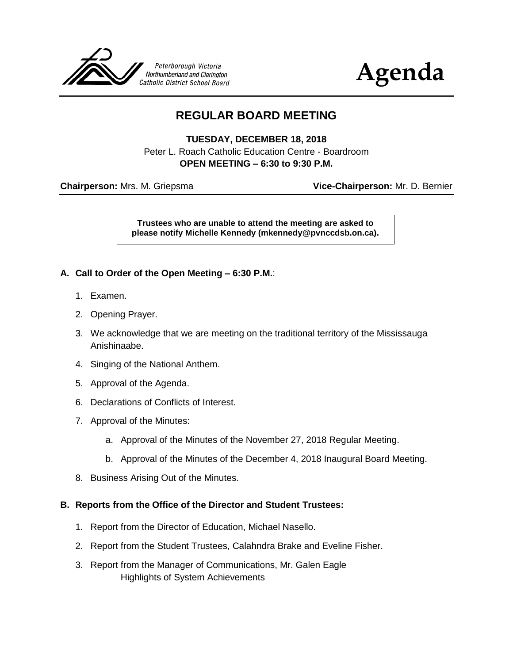



# **REGULAR BOARD MEETING**

**TUESDAY, DECEMBER 18, 2018** Peter L. Roach Catholic Education Centre - Boardroom **OPEN MEETING – 6:30 to 9:30 P.M.**

**Chairperson:** Mrs. M. Griepsma **Vice-Chairperson:** Mr. D. Bernier

**Trustees who are unable to attend the meeting are asked to please notify Michelle Kennedy (mkennedy@pvnccdsb.on.ca).**

## **A. Call to Order of the Open Meeting – 6:30 P.M.**:

- 1. Examen.
- 2. Opening Prayer.
- 3. We acknowledge that we are meeting on the traditional territory of the Mississauga Anishinaabe.
- 4. Singing of the National Anthem.
- 5. Approval of the Agenda.
- 6. Declarations of Conflicts of Interest.
- 7. Approval of the Minutes:
	- a. Approval of the Minutes of the November 27, 2018 Regular Meeting.
	- b. Approval of the Minutes of the December 4, 2018 Inaugural Board Meeting.
- 8. Business Arising Out of the Minutes.

#### **B. Reports from the Office of the Director and Student Trustees:**

- 1. Report from the Director of Education, Michael Nasello.
- 2. Report from the Student Trustees, Calahndra Brake and Eveline Fisher.
- 3. Report from the Manager of Communications, Mr. Galen Eagle Highlights of System Achievements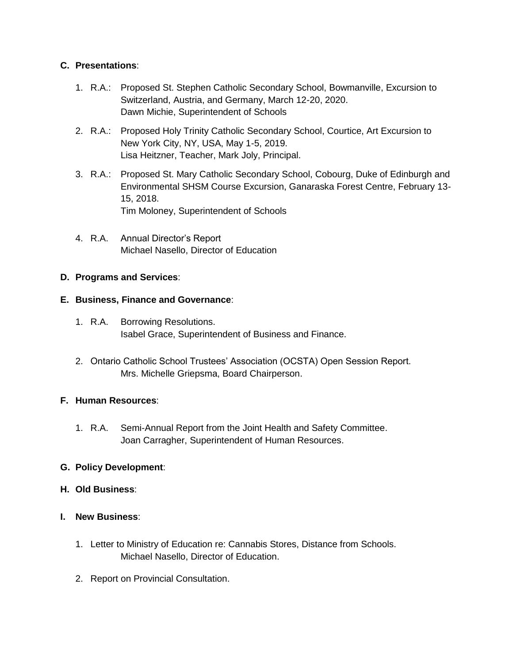## **C. Presentations**:

- 1. R.A.: Proposed St. Stephen Catholic Secondary School, Bowmanville, Excursion to Switzerland, Austria, and Germany, March 12-20, 2020. Dawn Michie, Superintendent of Schools
- 2. R.A.: Proposed Holy Trinity Catholic Secondary School, Courtice, Art Excursion to New York City, NY, USA, May 1-5, 2019. Lisa Heitzner, Teacher, Mark Joly, Principal.
- 3. R.A.: Proposed St. Mary Catholic Secondary School, Cobourg, Duke of Edinburgh and Environmental SHSM Course Excursion, Ganaraska Forest Centre, February 13- 15, 2018. Tim Moloney, Superintendent of Schools
- 4. R.A. Annual Director's Report Michael Nasello, Director of Education

## **D. Programs and Services**:

## **E. Business, Finance and Governance**:

- 1. R.A. Borrowing Resolutions. Isabel Grace, Superintendent of Business and Finance.
- 2. Ontario Catholic School Trustees' Association (OCSTA) Open Session Report. Mrs. Michelle Griepsma, Board Chairperson.

## **F. Human Resources**:

1. R.A. Semi-Annual Report from the Joint Health and Safety Committee. Joan Carragher, Superintendent of Human Resources.

## **G. Policy Development**:

## **H. Old Business**:

- **I. New Business**:
	- 1. Letter to Ministry of Education re: Cannabis Stores, Distance from Schools. Michael Nasello, Director of Education.
	- 2. Report on Provincial Consultation.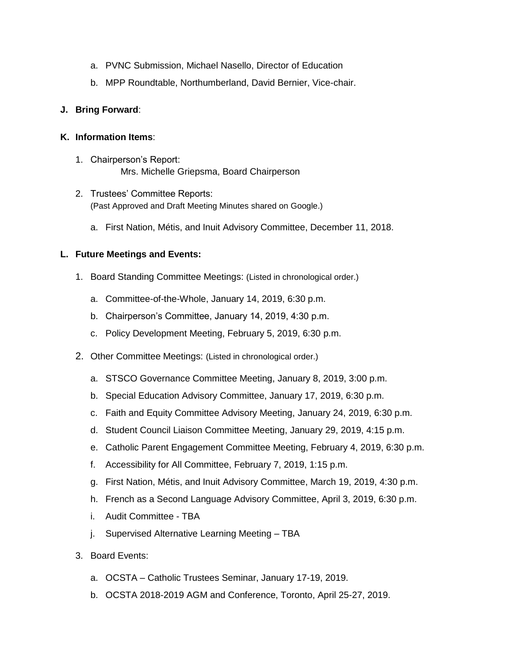- a. PVNC Submission, Michael Nasello, Director of Education
- b. MPP Roundtable, Northumberland, David Bernier, Vice-chair.

## **J. Bring Forward**:

## **K. Information Items**:

- 1. Chairperson's Report: Mrs. Michelle Griepsma, Board Chairperson
- 2. Trustees' Committee Reports: (Past Approved and Draft Meeting Minutes shared on Google.)
	- a. First Nation, Métis, and Inuit Advisory Committee, December 11, 2018.

## **L. Future Meetings and Events:**

- 1. Board Standing Committee Meetings: (Listed in chronological order.)
	- a. Committee-of-the-Whole, January 14, 2019, 6:30 p.m.
	- b. Chairperson's Committee, January 14, 2019, 4:30 p.m.
	- c. Policy Development Meeting, February 5, 2019, 6:30 p.m.
- 2. Other Committee Meetings: (Listed in chronological order.)
	- a. STSCO Governance Committee Meeting, January 8, 2019, 3:00 p.m.
	- b. Special Education Advisory Committee, January 17, 2019, 6:30 p.m.
	- c. Faith and Equity Committee Advisory Meeting, January 24, 2019, 6:30 p.m.
	- d. Student Council Liaison Committee Meeting, January 29, 2019, 4:15 p.m.
	- e. Catholic Parent Engagement Committee Meeting, February 4, 2019, 6:30 p.m.
	- f. Accessibility for All Committee, February 7, 2019, 1:15 p.m.
	- g. First Nation, Métis, and Inuit Advisory Committee, March 19, 2019, 4:30 p.m.
	- h. French as a Second Language Advisory Committee, April 3, 2019, 6:30 p.m.
	- i. Audit Committee TBA
	- j. Supervised Alternative Learning Meeting TBA
- 3. Board Events:
	- a. OCSTA Catholic Trustees Seminar, January 17-19, 2019.
	- b. OCSTA 2018-2019 AGM and Conference, Toronto, April 25-27, 2019.